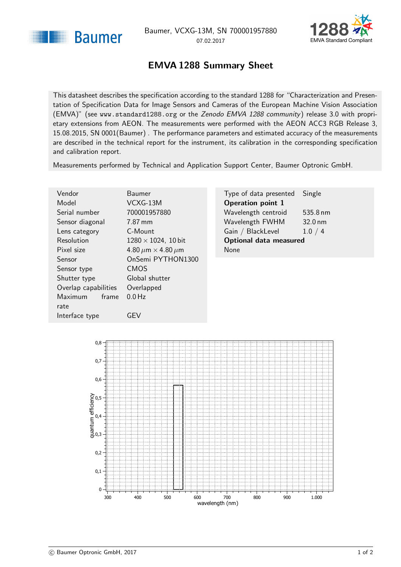<span id="page-0-1"></span>



## EMVA 1288 Summary Sheet

<span id="page-0-0"></span>This datasheet describes the specification according to the standard 1288 for "Characterization and Presentation of Specification Data for Image Sensors and Cameras of the European Machine Vision Association (EMVA)" (see <www.standard1288.org> or the [Zenodo EMVA 1288 community](http://www.zenodo.org/collection/user-emva1288) ) release 3.0 with proprietary extensions from AEON. The measurements were performed with the AEON ACC3 RGB Release 3, 15.08.2015, SN 0001(Baumer) . The performance parameters and estimated accuracy of the measurements are described in the technical report for the instrument, its calibration in the corresponding specification and calibration report.

Measurements performed by Technical and Application Support Center, Baumer Optronic GmbH.

| Vendor                  | Baumer                             | Type of data presented        | Single             |
|-------------------------|------------------------------------|-------------------------------|--------------------|
| Model                   | VCXG-13M                           | <b>Operation point 1</b>      |                    |
| Serial number           | 700001957880                       | Wavelength centroid           | $535.8 \text{ nm}$ |
| Sensor diagonal         | 7.87 mm                            | Wavelength FWHM               | $32.0 \text{ nm}$  |
| Lens category           | C-Mount                            | Gain / BlackLevel             | 1.0 / 4            |
| Resolution              | $1280 \times 1024$ , 10 bit        | <b>Optional data measured</b> |                    |
| Pixel size              | 4.80 $\mu$ m $\times$ 4.80 $\mu$ m | <b>None</b>                   |                    |
| Sensor                  | OnSemi PYTHON1300                  |                               |                    |
| Sensor type             | <b>CMOS</b>                        |                               |                    |
| Shutter type            | Global shutter                     |                               |                    |
| Overlap capabilities    | Overlapped                         |                               |                    |
| <b>Maximum</b><br>frame | $0.0$ Hz                           |                               |                    |
| rate                    |                                    |                               |                    |



Interface type **GEV**